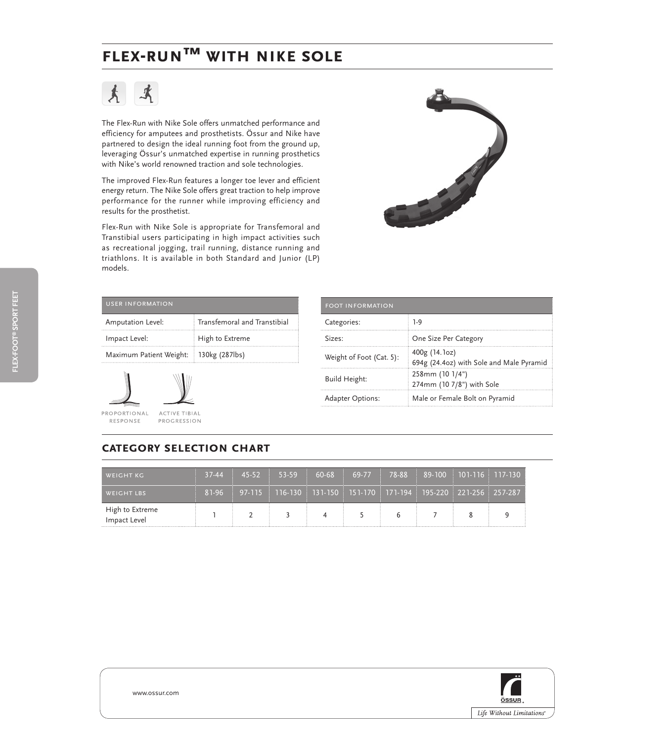# **Flex-run™ with nike sOLE**



The Flex-Run with Nike Sole offers unmatched performance and efficiency for amputees and prosthetists. Össur and Nike have partnered to design the ideal running foot from the ground up, leveraging Össur's unmatched expertise in running prosthetics with Nike's world renowned traction and sole technologies.

The improved Flex-Run features a longer toe lever and efficient energy return. The Nike Sole offers great traction to help improve performance for the runner while improving efficiency and results for the prosthetist.

Flex-Run with Nike Sole is appropriate for Transfemoral and Transtibial users participating in high impact activities such as recreational jogging, trail running, distance running and triathlons. It is available in both Standard and Junior (LP) models.



| <b>USER INFORMATION</b> |                              |  |  |
|-------------------------|------------------------------|--|--|
| Amputation Level:       | Transfemoral and Transtibial |  |  |
| Impact Level:           | High to Extreme              |  |  |
| Maximum Patient Weight: | 130kg (287lbs)<br>÷          |  |  |



| <b>FOOT INFORMATION</b>  |                                                           |
|--------------------------|-----------------------------------------------------------|
| Categories:              | $1-9$                                                     |
| Sizes:                   | One Size Per Category                                     |
| Weight of Foot (Cat. 5): | 400g (14.1oz)<br>694g (24.4oz) with Sole and Male Pyramid |
| Build Height:            | 258mm (10 1/4")<br>274mm (10 7/8") with Sole              |
| <b>Adapter Options:</b>  | Male or Female Bolt on Pyramid                            |

## **category selection chart**

| <b>WEIGHT KG</b>                | $37-44$ | $45 - 52$ | 53-59                                                                                                    | $60-68$ : | 69-77 | 78-88 |  | $\frac{1}{2}$ 89-100 101-116 117-130 1 |
|---------------------------------|---------|-----------|----------------------------------------------------------------------------------------------------------|-----------|-------|-------|--|----------------------------------------|
| <b>WEIGHT LBS</b>               | 81-96   |           | 97-115 $\pm$ 116-130 $\pm$ 131-150 $\pm$ 151-170 $\pm$ 171-194 $\pm$ 195-220 $\pm$ 221-256 $\pm$ 257-287 |           |       |       |  |                                        |
| High to Extreme<br>Impact Level |         |           |                                                                                                          |           |       |       |  |                                        |



**flex-foot® sport feet**

FLEX-FOOT® SPORT FEET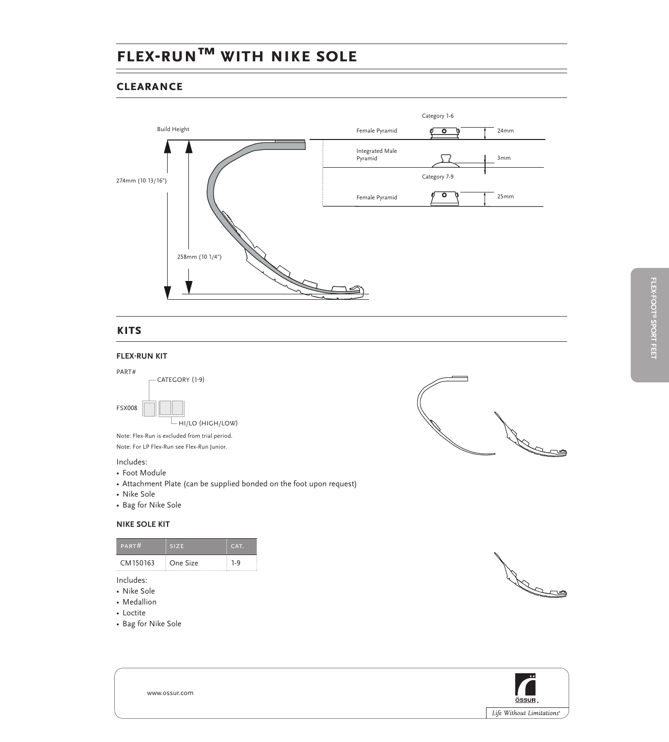# **Flex-run™ with nike sOLE**

#### **clearance**



### **kits**

#### **flex-run kit**



### Includes:

- Foot Module
- Attachment Plate (can be supplied bonded on the foot upon request)
- Nike Sole
- Bag for Nike Sole

#### **NIKE SOLE KIT**

| PART#    | <b>SIZE</b> | CAT. |
|----------|-------------|------|
| CM150163 | One Size    | 1.9  |
|          |             |      |

- Includes:
- Nike Sole • Medallion
- Loctite
- 









www.ossur.com